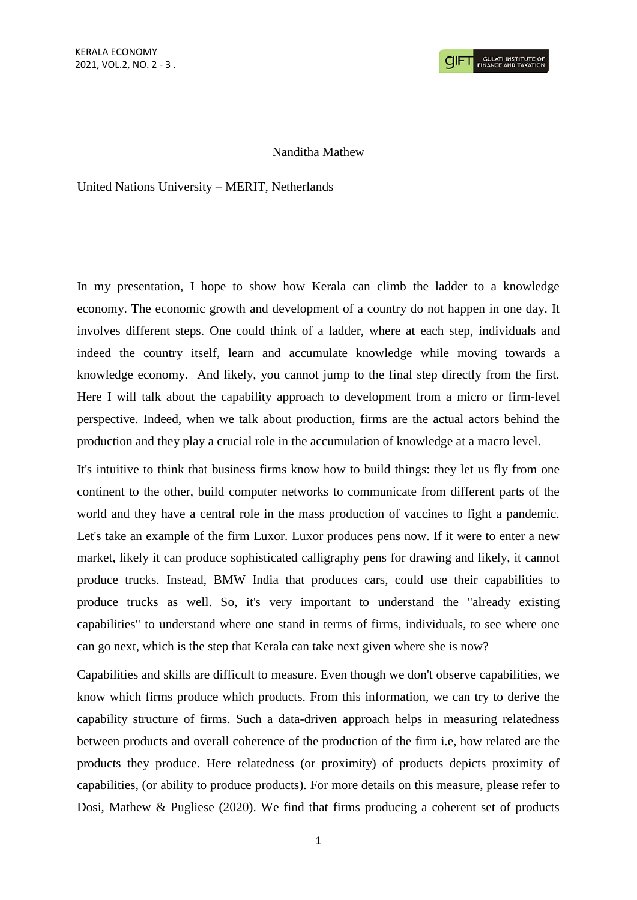## Nanditha Mathew

United Nations University – MERIT, Netherlands

In my presentation, I hope to show how Kerala can climb the ladder to a knowledge economy. The economic growth and development of a country do not happen in one day. It involves different steps. One could think of a ladder, where at each step, individuals and indeed the country itself, learn and accumulate knowledge while moving towards a knowledge economy. And likely, you cannot jump to the final step directly from the first. Here I will talk about the capability approach to development from a micro or firm-level perspective. Indeed, when we talk about production, firms are the actual actors behind the production and they play a crucial role in the accumulation of knowledge at a macro level.

It's intuitive to think that business firms know how to build things: they let us fly from one continent to the other, build computer networks to communicate from different parts of the world and they have a central role in the mass production of vaccines to fight a pandemic. Let's take an example of the firm Luxor. Luxor produces pens now. If it were to enter a new market, likely it can produce sophisticated calligraphy pens for drawing and likely, it cannot produce trucks. Instead, BMW India that produces cars, could use their capabilities to produce trucks as well. So, it's very important to understand the "already existing capabilities" to understand where one stand in terms of firms, individuals, to see where one can go next, which is the step that Kerala can take next given where she is now?

Capabilities and skills are difficult to measure. Even though we don't observe capabilities, we know which firms produce which products. From this information, we can try to derive the capability structure of firms. Such a data-driven approach helps in measuring relatedness between products and overall coherence of the production of the firm i.e, how related are the products they produce. Here relatedness (or proximity) of products depicts proximity of capabilities, (or ability to produce products). For more details on this measure, please refer to Dosi, Mathew & Pugliese (2020). We find that firms producing a coherent set of products

1